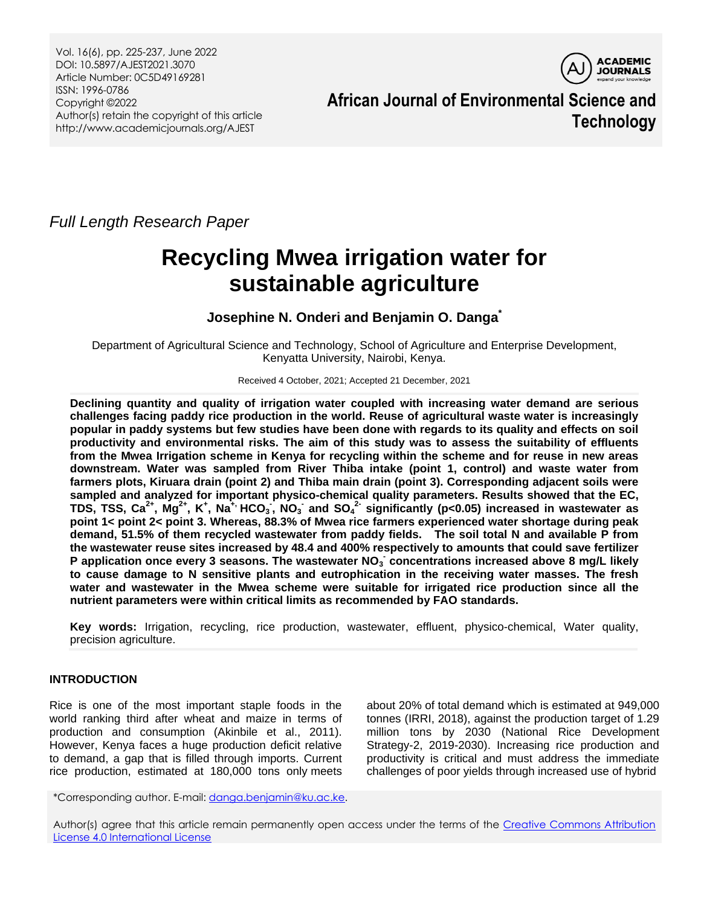Vol. 16(6), pp. 225-237, June 2022 DOI: 10.5897/AJEST2021.3070 Article Number: 0C5D49169281 ISSN: 1996-0786 Copyright ©2022 Author(s) retain the copyright of this article http://www.academicjournals.org/AJEST



**African Journal of Environmental Science and Technology**

*Full Length Research Paper*

# **Recycling Mwea irrigation water for sustainable agriculture**

**Josephine N. Onderi and Benjamin O. Danga\***

Department of Agricultural Science and Technology, School of Agriculture and Enterprise Development, Kenyatta University, Nairobi, Kenya.

Received 4 October, 2021; Accepted 21 December, 2021

**Declining quantity and quality of irrigation water coupled with increasing water demand are serious challenges facing paddy rice production in the world. Reuse of agricultural waste water is increasingly popular in paddy systems but few studies have been done with regards to its quality and effects on soil productivity and environmental risks. The aim of this study was to assess the suitability of effluents from the Mwea Irrigation scheme in Kenya for recycling within the scheme and for reuse in new areas downstream. Water was sampled from River Thiba intake (point 1, control) and waste water from farmers plots, Kiruara drain (point 2) and Thiba main drain (point 3). Corresponding adjacent soils were sampled and analyzed for important physico-chemical quality parameters. Results showed that the EC,**  TDS, TSS, Ca<sup>2+</sup>, Mg<sup>2+</sup>, K<sup>+</sup>, Na<sup>+,</sup> HCO<sub>3</sub>, NO<sub>3</sub> and SO<sub>4</sub><sup>2-</sup> significantly (p<0.05) increased in wastewater as **point 1< point 2< point 3. Whereas, 88.3% of Mwea rice farmers experienced water shortage during peak demand, 51.5% of them recycled wastewater from paddy fields. The soil total N and available P from the wastewater reuse sites increased by 48.4 and 400% respectively to amounts that could save fertilizer**  P application once every 3 seasons. The wastewater NO<sub>3</sub> concentrations increased above 8 mg/L likely **to cause damage to N sensitive plants and eutrophication in the receiving water masses. The fresh water and wastewater in the Mwea scheme were suitable for irrigated rice production since all the nutrient parameters were within critical limits as recommended by FAO standards.**

**Key words:** Irrigation, recycling, rice production, wastewater, effluent, physico-chemical, Water quality, precision agriculture.

# **INTRODUCTION**

Rice is one of the most important staple foods in the world ranking third after wheat and maize in terms of production and consumption (Akinbile et al., 2011). However, Kenya faces a huge production deficit relative to demand, a gap that is filled through imports. Current rice production, estimated at 180,000 tons only meets

about 20% of total demand which is estimated at 949,000 tonnes (IRRI, 2018), against the production target of 1.29 million tons by 2030 (National Rice Development Strategy-2, 2019-2030). Increasing rice production and productivity is critical and must address the immediate challenges of poor yields through increased use of hybrid

\*Corresponding author. E-mail[: danga.benjamin@ku.ac.ke.](mailto:danga.benjamin@ku.ac.ke)

Author(s) agree that this article remain permanently open access under the terms of the Creative Commons Attribution [License 4.0 International License](http://creativecommons.org/licenses/by/4.0/deed.en_US)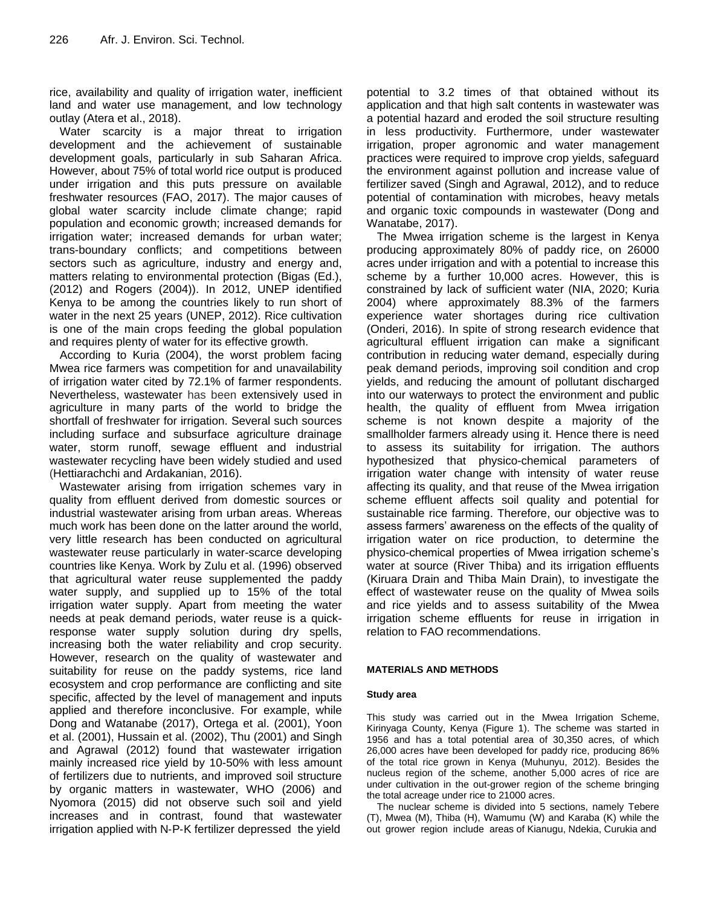rice, availability and quality of irrigation water, inefficient land and water use management, and low technology outlay (Atera et al., 2018).

Water scarcity is a major threat to irrigation development and the achievement of sustainable development goals, particularly in sub Saharan Africa. However, about 75% of total world rice output is produced under irrigation and this puts pressure on available freshwater resources (FAO, 2017). The major causes of global water scarcity include climate change; rapid population and economic growth; increased demands for irrigation water; increased demands for urban water; trans-boundary conflicts; and competitions between sectors such as agriculture, industry and energy and, matters relating to environmental protection (Bigas (Ed.), (2012) and Rogers (2004)). In 2012, UNEP identified Kenya to be among the countries likely to run short of water in the next 25 years (UNEP, 2012). Rice cultivation is one of the main crops feeding the global population and requires plenty of water for its effective growth.

According to Kuria (2004), the worst problem facing Mwea rice farmers was competition for and unavailability of irrigation water cited by 72.1% of farmer respondents. Nevertheless, wastewater has been extensively used in agriculture in many parts of the world to bridge the shortfall of freshwater for irrigation. Several such sources including surface and subsurface agriculture drainage water, storm runoff, sewage effluent and industrial wastewater recycling have been widely studied and used (Hettiarachchi and Ardakanian, 2016).

Wastewater arising from irrigation schemes vary in quality from effluent derived from domestic sources or industrial wastewater arising from urban areas. Whereas much work has been done on the latter around the world, very little research has been conducted on agricultural wastewater reuse particularly in water-scarce developing countries like Kenya. Work by Zulu et al. (1996) observed that agricultural water reuse supplemented the paddy water supply, and supplied up to 15% of the total irrigation water supply. Apart from meeting the water needs at peak demand periods, water reuse is a quickresponse water supply solution during dry spells, increasing both the water reliability and crop security. However, research on the quality of wastewater and suitability for reuse on the paddy systems, rice land ecosystem and crop performance are conflicting and site specific, affected by the level of management and inputs applied and therefore inconclusive. For example, while Dong and Watanabe (2017), Ortega et al. (2001), Yoon et al. (2001), Hussain et al. (2002), Thu (2001) and Singh and Agrawal (2012) found that wastewater irrigation mainly increased rice yield by 10-50% with less amount of fertilizers due to nutrients, and improved soil structure by organic matters in wastewater, WHO (2006) and Nyomora (2015) did not observe such soil and yield increases and in contrast, found that wastewater irrigation applied with N‐P‐K fertilizer depressed the yield

potential to 3.2 times of that obtained without its application and that high salt contents in wastewater was a potential hazard and eroded the soil structure resulting in less productivity. Furthermore, under wastewater irrigation, proper agronomic and water management practices were required to improve crop yields, safeguard the environment against pollution and increase value of fertilizer saved (Singh and Agrawal, 2012), and to reduce potential of contamination with microbes, heavy metals and organic toxic compounds in wastewater (Dong and Wanatabe, 2017).

The Mwea irrigation scheme is the largest in Kenya producing approximately 80% of paddy rice, on 26000 acres under irrigation and with a potential to increase this scheme by a further 10,000 acres. However, this is constrained by lack of sufficient water (NIA, 2020; Kuria 2004) where approximately 88.3% of the farmers experience water shortages during rice cultivation (Onderi, 2016). In spite of strong research evidence that agricultural effluent irrigation can make a significant contribution in reducing water demand, especially during peak demand periods, improving soil condition and crop yields, and reducing the amount of pollutant discharged into our waterways to protect the environment and public health, the quality of effluent from Mwea irrigation scheme is not known despite a majority of the smallholder farmers already using it. Hence there is need to assess its suitability for irrigation. The authors hypothesized that physico-chemical parameters of irrigation water change with intensity of water reuse affecting its quality, and that reuse of the Mwea irrigation scheme effluent affects soil quality and potential for sustainable rice farming. Therefore, our objective was to assess farmers' awareness on the effects of the quality of irrigation water on rice production, to determine the physico-chemical properties of Mwea irrigation scheme's water at source (River Thiba) and its irrigation effluents (Kiruara Drain and Thiba Main Drain), to investigate the effect of wastewater reuse on the quality of Mwea soils and rice yields and to assess suitability of the Mwea irrigation scheme effluents for reuse in irrigation in relation to FAO recommendations.

# **MATERIALS AND METHODS**

## **Study area**

This study was carried out in the Mwea Irrigation Scheme, Kirinyaga County, Kenya (Figure 1). The scheme was started in 1956 and has a total potential area of 30,350 acres, of which 26,000 acres have been developed for paddy rice, producing 86% of the total rice grown in Kenya (Muhunyu, 2012). Besides the nucleus region of the scheme, another 5,000 acres of rice are under cultivation in the out-grower region of the scheme bringing the total acreage under rice to 21000 acres.

The nuclear scheme is divided into 5 sections, namely Tebere (T), Mwea (M), Thiba (H), Wamumu (W) and Karaba (K) while the out grower region include areas of Kianugu, Ndekia, Curukia and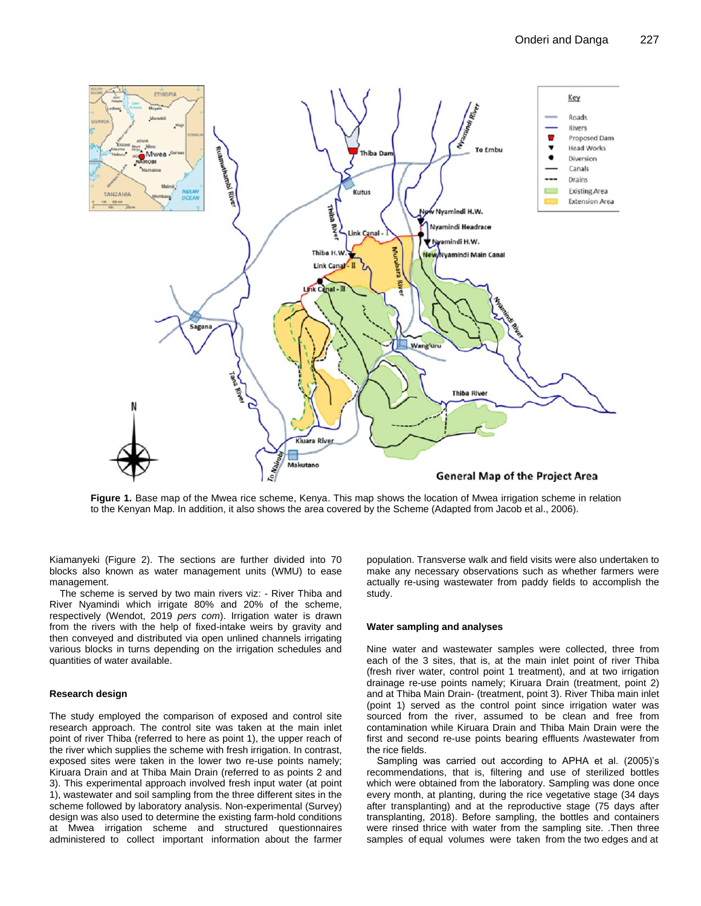

**Figure 1.** Base map of the Mwea rice scheme, Kenya. This map shows the location of Mwea irrigation scheme in relation to the Kenyan Map. In addition, it also shows the area covered by the Scheme (Adapted from Jacob et al., 2006).

Kiamanyeki (Figure 2). The sections are further divided into 70 blocks also known as water management units (WMU) to ease management.

The scheme is served by two main rivers viz: - River Thiba and River Nyamindi which irrigate 80% and 20% of the scheme, respectively (Wendot, 2019 *pers com*). Irrigation water is drawn from the rivers with the help of fixed-intake weirs by gravity and then conveyed and distributed via open unlined channels irrigating various blocks in turns depending on the irrigation schedules and quantities of water available.

## **Research design**

The study employed the comparison of exposed and control site research approach. The control site was taken at the main inlet point of river Thiba (referred to here as point 1), the upper reach of the river which supplies the scheme with fresh irrigation. In contrast, exposed sites were taken in the lower two re-use points namely; Kiruara Drain and at Thiba Main Drain (referred to as points 2 and 3). This experimental approach involved fresh input water (at point 1), wastewater and soil sampling from the three different sites in the scheme followed by laboratory analysis. Non-experimental (Survey) design was also used to determine the existing farm-hold conditions at Mwea irrigation scheme and structured questionnaires administered to collect important information about the farmer

population. Transverse walk and field visits were also undertaken to make any necessary observations such as whether farmers were actually re-using wastewater from paddy fields to accomplish the study.

# **Water sampling and analyses**

Nine water and wastewater samples were collected, three from each of the 3 sites, that is, at the main inlet point of river Thiba (fresh river water, control point 1 treatment), and at two irrigation drainage re-use points namely; Kiruara Drain (treatment, point 2) and at Thiba Main Drain- (treatment, point 3). River Thiba main inlet (point 1) served as the control point since irrigation water was sourced from the river, assumed to be clean and free from contamination while Kiruara Drain and Thiba Main Drain were the first and second re-use points bearing effluents /wastewater from the rice fields.

Sampling was carried out according to APHA et al. (2005)'s recommendations, that is, filtering and use of sterilized bottles which were obtained from the laboratory. Sampling was done once every month, at planting, during the rice vegetative stage (34 days after transplanting) and at the reproductive stage (75 days after transplanting, 2018). Before sampling, the bottles and containers were rinsed thrice with water from the sampling site. .Then three samples of equal volumes were taken from the two edges and at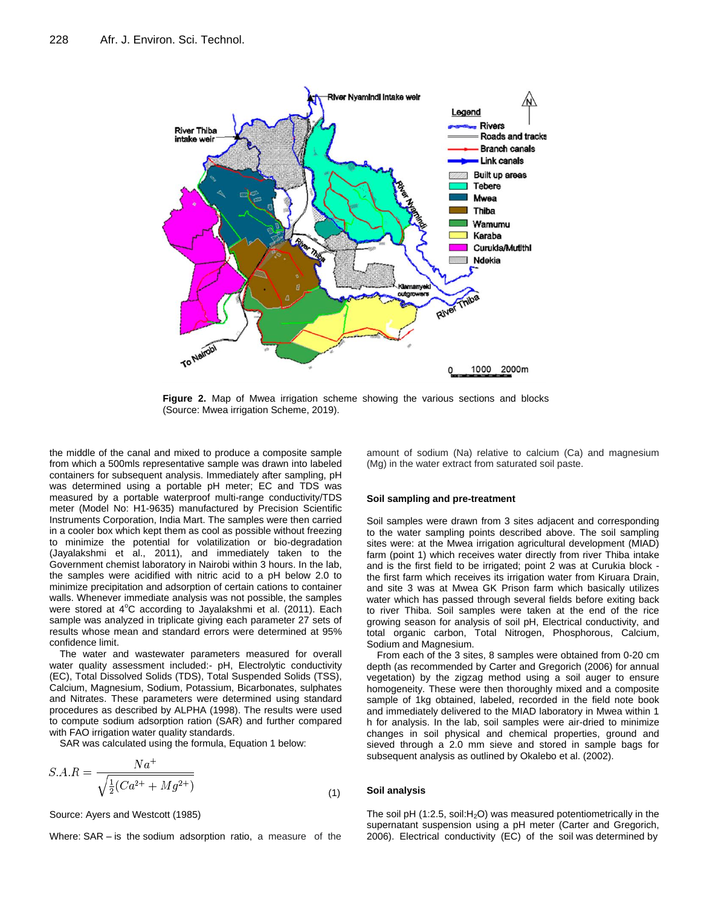

**Figure 2.** Map of Mwea irrigation scheme showing the various sections and blocks (Source: Mwea irrigation Scheme, 2019).

the middle of the canal and mixed to produce a composite sample from which a 500mls representative sample was drawn into labeled containers for subsequent analysis. Immediately after sampling, pH was determined using a portable pH meter; EC and TDS was measured by a portable waterproof multi-range conductivity/TDS meter (Model No: H1-9635) manufactured by Precision Scientific Instruments Corporation, India Mart. The samples were then carried in a cooler box which kept them as cool as possible without freezing to minimize the potential for volatilization or bio-degradation (Jayalakshmi et al., 2011), and immediately taken to the Government chemist laboratory in Nairobi within 3 hours. In the lab, the samples were acidified with nitric acid to a pH below 2.0 to minimize precipitation and adsorption of certain cations to container walls. Whenever immediate analysis was not possible, the samples were stored at 4°C according to Jayalakshmi et al. (2011). Each sample was analyzed in triplicate giving each parameter 27 sets of results whose mean and standard errors were determined at 95% confidence limit.

The water and wastewater parameters measured for overall water quality assessment included:- pH, Electrolytic conductivity (EC), Total Dissolved Solids (TDS), Total Suspended Solids (TSS), Calcium, Magnesium, Sodium, Potassium, Bicarbonates, sulphates and Nitrates. These parameters were determined using standard procedures as described by ALPHA (1998). The results were used to compute sodium adsorption ration (SAR) and further compared with FAO irrigation water quality standards.

SAR was calculated using the formula, Equation 1 below:

$$
S.A.R = \frac{Na^{+}}{\sqrt{\frac{1}{2}(Ca^{2+} + Mg^{2+})}}
$$
\n(1)

Source: Ayers and Westcott (1985)

Where: SAR – is the sodium adsorption ratio, a measure of the

amount of sodium (Na) relative to calcium (Ca) and magnesium (Mg) in the water extract from saturated soil paste.

#### **Soil sampling and pre-treatment**

Soil samples were drawn from 3 sites adjacent and corresponding to the water sampling points described above. The soil sampling sites were: at the Mwea irrigation agricultural development (MIAD) farm (point 1) which receives water directly from river Thiba intake and is the first field to be irrigated; point 2 was at Curukia block the first farm which receives its irrigation water from Kiruara Drain, and site 3 was at Mwea GK Prison farm which basically utilizes water which has passed through several fields before exiting back to river Thiba. Soil samples were taken at the end of the rice growing season for analysis of soil pH, Electrical conductivity, and total organic carbon, Total Nitrogen, Phosphorous, Calcium, Sodium and Magnesium.

From each of the 3 sites, 8 samples were obtained from 0-20 cm depth (as recommended by Carter and Gregorich (2006) for annual vegetation) by the zigzag method using a soil auger to ensure homogeneity. These were then thoroughly mixed and a composite sample of 1kg obtained, labeled, recorded in the field note book and immediately delivered to the MIAD laboratory in Mwea within 1 h for analysis. In the lab, soil samples were air-dried to minimize changes in soil physical and chemical properties, ground and sieved through a 2.0 mm sieve and stored in sample bags for subsequent analysis as outlined by Okalebo et al. (2002).

## **Soil analysis**

The soil pH (1:2.5, soil: $H_2O$ ) was measured potentiometrically in the supernatant suspension using a pH meter (Carter and Gregorich, 2006). Electrical conductivity (EC) of the soil was determined by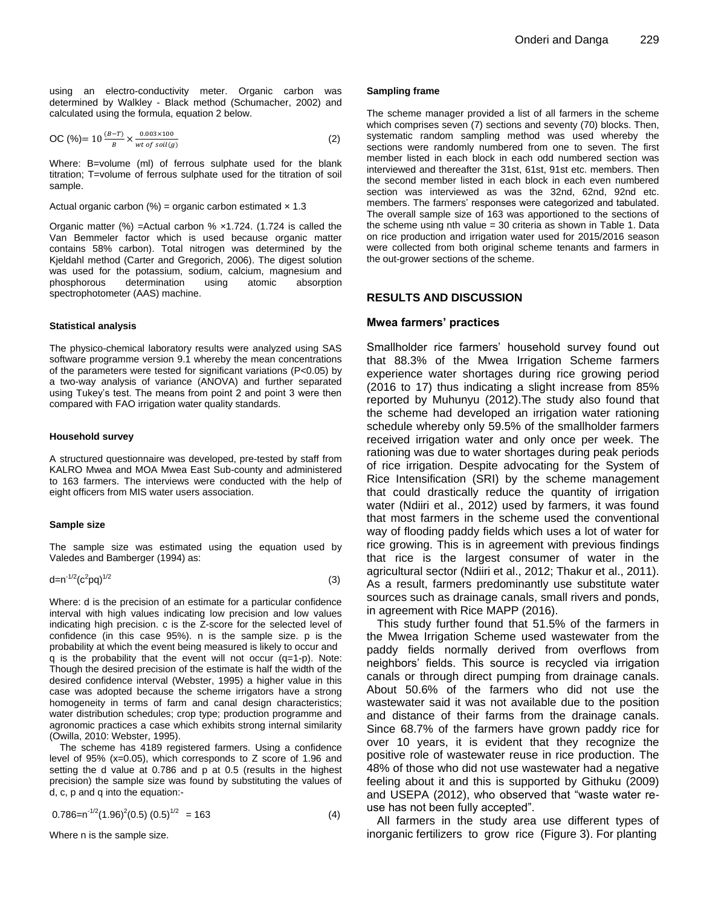using an electro-conductivity meter. Organic carbon was determined by Walkley - Black method (Schumacher, 2002) and calculated using the formula, equation 2 below.

$$
\text{OC } (\%) = 10 \frac{(B-T)}{B} \times \frac{0.003 \times 100}{wt \text{ of } soil(g)}
$$
 (2)

Where: B=volume (ml) of ferrous sulphate used for the blank titration; T=volume of ferrous sulphate used for the titration of soil sample.

# Actual organic carbon (%) = organic carbon estimated  $\times$  1.3

Organic matter  $(\%)$  = Actual carbon  $% \times 1.724$ . (1.724 is called the Van Bemmeler factor which is used because organic matter contains 58% carbon). Total nitrogen was determined by the Kjeldahl method (Carter and Gregorich, 2006). The digest solution was used for the potassium, sodium, calcium, magnesium and phosphorous determination using atomic absorption spectrophotometer (AAS) machine.

#### **Statistical analysis**

The physico-chemical laboratory results were analyzed using SAS software programme version 9.1 whereby the mean concentrations of the parameters were tested for significant variations (P<0.05) by a two-way analysis of variance (ANOVA) and further separated using Tukey's test. The means from point 2 and point 3 were then compared with FAO irrigation water quality standards.

#### **Household survey**

A structured questionnaire was developed, pre-tested by staff from KALRO Mwea and MOA Mwea East Sub-county and administered to 163 farmers. The interviews were conducted with the help of eight officers from MIS water users association.

#### **Sample size**

The sample size was estimated using the equation used by Valedes and Bamberger (1994) as:

$$
d = n^{-1/2} (c^2 pq)^{1/2}
$$
 (3)

Where: d is the precision of an estimate for a particular confidence interval with high values indicating low precision and low values indicating high precision. c is the Z-score for the selected level of confidence (in this case 95%). n is the sample size. p is the probability at which the event being measured is likely to occur and q is the probability that the event will not occur (q=1-p). Note: Though the desired precision of the estimate is half the width of the desired confidence interval (Webster, 1995) a higher value in this case was adopted because the scheme irrigators have a strong homogeneity in terms of farm and canal design characteristics; water distribution schedules; crop type; production programme and agronomic practices a case which exhibits strong internal similarity (Owilla, 2010: Webster, 1995).

The scheme has 4189 registered farmers. Using a confidence level of 95% (x=0.05), which corresponds to Z score of 1.96 and setting the d value at 0.786 and p at 0.5 (results in the highest precision) the sample size was found by substituting the values of d, c, p and q into the equation:-

$$
0.786 = n^{-1/2} (1.96)^2 (0.5) (0.5)^{1/2} = 163 \tag{4}
$$

Where n is the sample size.

#### **Sampling frame**

The scheme manager provided a list of all farmers in the scheme which comprises seven (7) sections and seventy (70) blocks. Then, systematic random sampling method was used whereby the sections were randomly numbered from one to seven. The first member listed in each block in each odd numbered section was interviewed and thereafter the 31st, 61st, 91st etc. members. Then the second member listed in each block in each even numbered section was interviewed as was the 32nd, 62nd, 92nd etc. members. The farmers' responses were categorized and tabulated. The overall sample size of 163 was apportioned to the sections of the scheme using nth value = 30 criteria as shown in Table 1. Data on rice production and irrigation water used for 2015/2016 season were collected from both original scheme tenants and farmers in the out-grower sections of the scheme.

# **RESULTS AND DISCUSSION**

## **Mwea farmers' practices**

Smallholder rice farmers' household survey found out that 88.3% of the Mwea Irrigation Scheme farmers experience water shortages during rice growing period (2016 to 17) thus indicating a slight increase from 85% reported by Muhunyu (2012).The study also found that the scheme had developed an irrigation water rationing schedule whereby only 59.5% of the smallholder farmers received irrigation water and only once per week. The rationing was due to water shortages during peak periods of rice irrigation. Despite advocating for the System of Rice Intensification (SRI) by the scheme management that could drastically reduce the quantity of irrigation water (Ndiiri et al., 2012) used by farmers, it was found that most farmers in the scheme used the conventional way of flooding paddy fields which uses a lot of water for rice growing. This is in agreement with previous findings that rice is the largest consumer of water in the agricultural sector (Ndiiri et al., 2012; Thakur et al., 2011). As a result, farmers predominantly use substitute water sources such as drainage canals, small rivers and ponds, in agreement with Rice MAPP (2016).

This study further found that 51.5% of the farmers in the Mwea Irrigation Scheme used wastewater from the paddy fields normally derived from overflows from neighbors' fields. This source is recycled via irrigation canals or through direct pumping from drainage canals. About 50.6% of the farmers who did not use the wastewater said it was not available due to the position and distance of their farms from the drainage canals. Since 68.7% of the farmers have grown paddy rice for over 10 years, it is evident that they recognize the positive role of wastewater reuse in rice production. The 48% of those who did not use wastewater had a negative feeling about it and this is supported by Githuku (2009) and USEPA (2012), who observed that "waste water reuse has not been fully accepted".

All farmers in the study area use different types of inorganic fertilizers to grow rice (Figure 3). For planting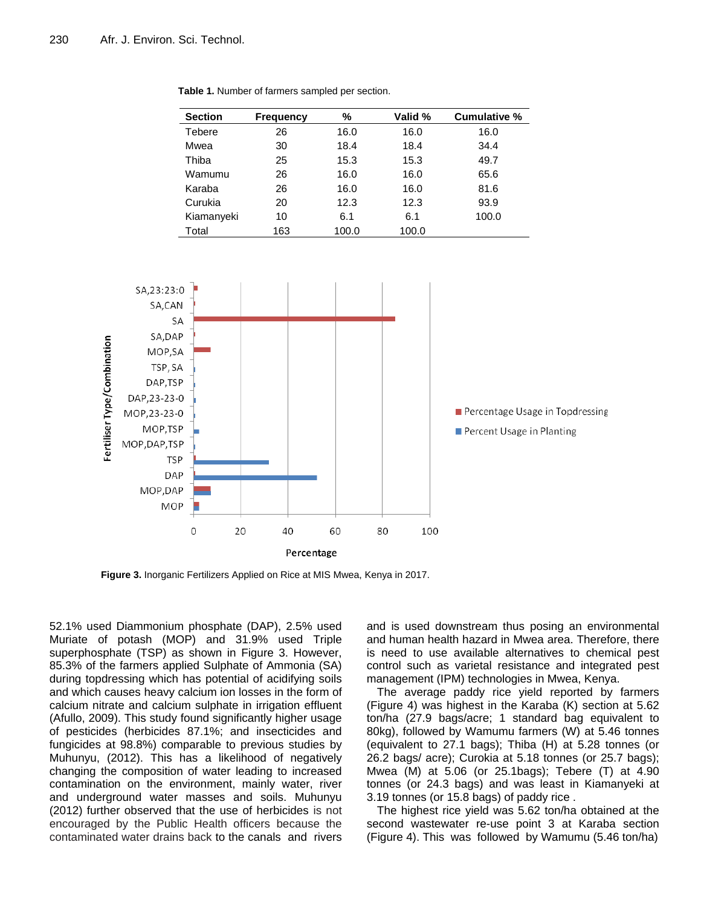| <b>Section</b> | <b>Frequency</b> | %     | Valid % | Cumulative % |
|----------------|------------------|-------|---------|--------------|
| Tebere         | 26               | 16.0  | 16.0    | 16.0         |
| Mwea           | 30               | 18.4  | 18.4    | 34.4         |
| Thiba          | 25               | 15.3  | 15.3    | 49.7         |
| Wamumu         | 26               | 16.0  | 16.0    | 65.6         |
| Karaba         | 26               | 16.0  | 16.0    | 81.6         |
| Curukia        | 20               | 12.3  | 12.3    | 93.9         |
| Kiamanyeki     | 10               | 6.1   | 6.1     | 100.0        |
| Total          | 163              | 100.0 | 100.0   |              |

**Table 1.** Number of farmers sampled per section.



**Figure 3.** Inorganic Fertilizers Applied on Rice at MIS Mwea, Kenya in 2017.

52.1% used Diammonium phosphate (DAP), 2.5% used Muriate of potash (MOP) and 31.9% used Triple superphosphate (TSP) as shown in Figure 3. However, 85.3% of the farmers applied Sulphate of Ammonia (SA) during topdressing which has potential of acidifying soils and which causes heavy calcium ion losses in the form of calcium nitrate and calcium sulphate in irrigation effluent (Afullo, 2009). This study found significantly higher usage of pesticides (herbicides 87.1%; and insecticides and fungicides at 98.8%) comparable to previous studies by Muhunyu, (2012). This has a likelihood of negatively changing the composition of water leading to increased contamination on the environment, mainly water, river and underground water masses and soils. Muhunyu (2012) further observed that the use of herbicides is not encouraged by the Public Health officers because the contaminated water drains back to the canals and rivers

and is used downstream thus posing an environmental and human health hazard in Mwea area. Therefore, there is need to use available alternatives to chemical pest control such as varietal resistance and integrated pest management (IPM) technologies in Mwea, Kenya.

The average paddy rice yield reported by farmers (Figure 4) was highest in the Karaba (K) section at 5.62 ton/ha (27.9 bags/acre; 1 standard bag equivalent to 80kg), followed by Wamumu farmers (W) at 5.46 tonnes (equivalent to 27.1 bags); Thiba (H) at 5.28 tonnes (or 26.2 bags/ acre); Curokia at 5.18 tonnes (or 25.7 bags); Mwea (M) at 5.06 (or 25.1bags); Tebere (T) at 4.90 tonnes (or 24.3 bags) and was least in Kiamanyeki at 3.19 tonnes (or 15.8 bags) of paddy rice .

The highest rice yield was 5.62 ton/ha obtained at the second wastewater re-use point 3 at Karaba section (Figure 4). This was followed by Wamumu (5.46 ton/ha)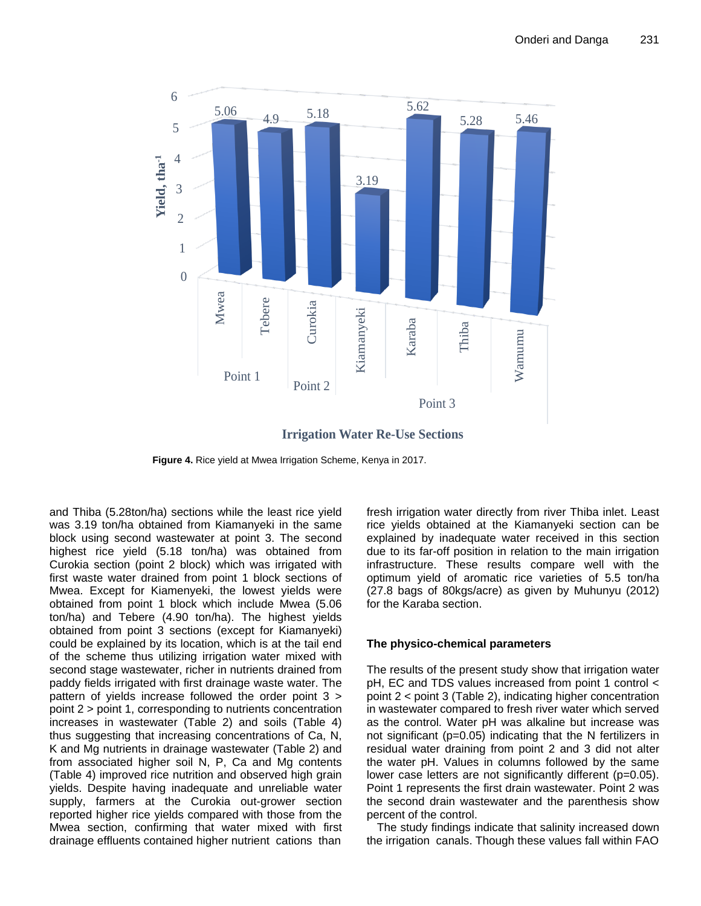

**Irrigation Water Re-Use Sections**

**Figure 4.** Rice yield at Mwea Irrigation Scheme, Kenya in 2017.

and Thiba (5.28ton/ha) sections while the least rice yield was 3.19 ton/ha obtained from Kiamanyeki in the same block using second wastewater at point 3. The second highest rice yield (5.18 ton/ha) was obtained from Curokia section (point 2 block) which was irrigated with first waste water drained from point 1 block sections of Mwea. Except for Kiamenyeki, the lowest yields were obtained from point 1 block which include Mwea (5.06 ton/ha) and Tebere (4.90 ton/ha). The highest yields obtained from point 3 sections (except for Kiamanyeki) could be explained by its location, which is at the tail end of the scheme thus utilizing irrigation water mixed with second stage wastewater, richer in nutrients drained from paddy fields irrigated with first drainage waste water. The pattern of yields increase followed the order point 3 > point 2 > point 1, corresponding to nutrients concentration increases in wastewater (Table 2) and soils (Table 4) thus suggesting that increasing concentrations of Ca, N, K and Mg nutrients in drainage wastewater (Table 2) and from associated higher soil N, P, Ca and Mg contents (Table 4) improved rice nutrition and observed high grain yields. Despite having inadequate and unreliable water supply, farmers at the Curokia out-grower section reported higher rice yields compared with those from the Mwea section, confirming that water mixed with first drainage effluents contained higher nutrient cations than fresh irrigation water directly from river Thiba inlet. Least rice yields obtained at the Kiamanyeki section can be explained by inadequate water received in this section due to its far-off position in relation to the main irrigation infrastructure. These results compare well with the optimum yield of aromatic rice varieties of 5.5 ton/ha (27.8 bags of 80kgs/acre) as given by Muhunyu (2012) for the Karaba section.

# **The physico-chemical parameters**

The results of the present study show that irrigation water pH, EC and TDS values increased from point 1 control < point 2 < point 3 (Table 2), indicating higher concentration in wastewater compared to fresh river water which served as the control. Water pH was alkaline but increase was not significant (p=0.05) indicating that the N fertilizers in residual water draining from point 2 and 3 did not alter the water pH. Values in columns followed by the same lower case letters are not significantly different (p=0.05). Point 1 represents the first drain wastewater. Point 2 was the second drain wastewater and the parenthesis show percent of the control.

The study findings indicate that salinity increased down the irrigation canals. Though these values fall within FAO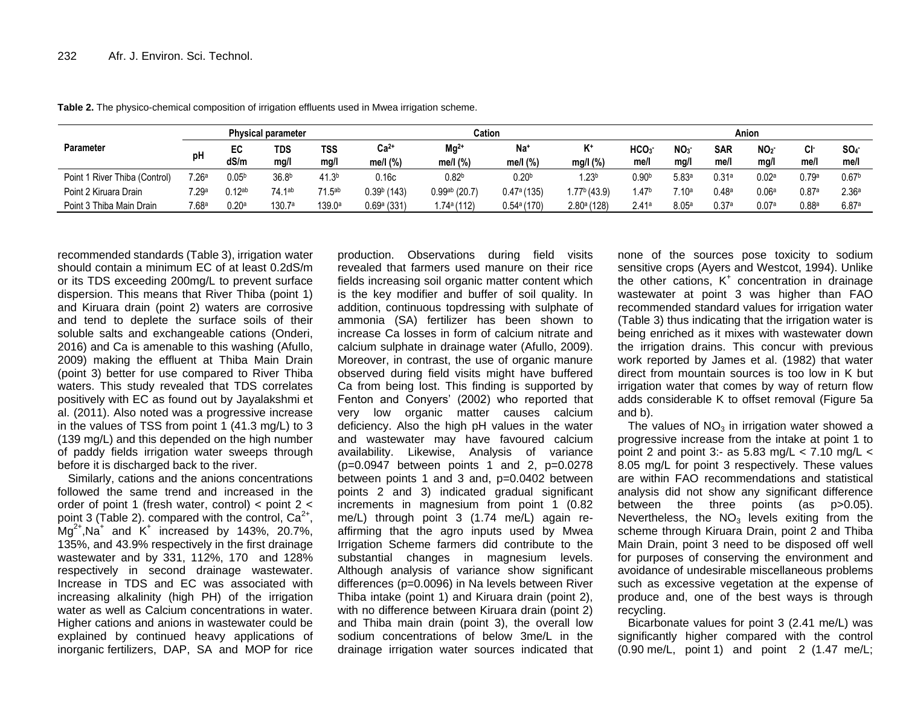|                               | <b>Physical parameter</b> |                    |                    | Cation            |               |                    | Anion                     |                  |                   |                 |            |                   |                   |                   |
|-------------------------------|---------------------------|--------------------|--------------------|-------------------|---------------|--------------------|---------------------------|------------------|-------------------|-----------------|------------|-------------------|-------------------|-------------------|
| <b>Parameter</b>              | рH                        | EC                 | TDS                | <b>TSS</b>        | $Ca2+$        | $Mg^{2+}$          | Na <sup>+</sup>           | K+               | HCO3 <sup>-</sup> | NO <sub>3</sub> | <b>SAR</b> | NO <sub>2</sub>   | Λŀ.<br>v          | SO <sub>4</sub>   |
|                               |                           | dS/m               | mg/l               | mg/l              | me/l (%)      | me/l (%)           | me/l $(%)$                | mg/l (%)         | me/i              | mq/l            | me/        | mq/               | me/l              | me/l              |
| Point 1 River Thiba (Control) | 7.26a                     | 0.05 <sup>b</sup>  | 36.8 <sup>b</sup>  | 41.3 <sup>b</sup> | 0.16c         | 0.82 <sup>b</sup>  | 0.20 <sup>b</sup>         | .23 <sup>b</sup> | $0.90^{\rm b}$    | 5.83a           | 0.31a      | 0.02a             | 0.79a             | 0.67 <sup>b</sup> |
| Point 2 Kiruara Drain         | 7.29a                     | 0.12 <sup>ab</sup> | 74.1 <sup>ab</sup> | 71 5ab            | $0.39b$ (143) | $0.99^{ab}$ (20.7) | $0.47a$ (135)             | $1.77b$ (43.9)   | .47 <sup>b</sup>  | .10ª            | 0.48a      | 0.06 <sup>8</sup> | 0.87a             | 2.36 <sup>a</sup> |
| Point 3 Thiba Main Drain      | 7.68a                     | 0.20a              | 130.7a             | 139.0a            | 0.69a(331)    | i.74ª (112)        | $0.54$ <sup>a</sup> (170) | $2.80a$ (128)    | 2.41a             | 8.05a           | 0.37a      | 0.07a             | 0.88 <sup>a</sup> | 6.87a             |

**Table 2.** The physico-chemical composition of irrigation effluents used in Mwea irrigation scheme.

recommended standards (Table 3), irrigation water should contain a minimum EC of at least 0.2dS/m or its TDS exceeding 200mg/L to prevent surface dispersion. This means that River Thiba (point 1) and Kiruara drain (point 2) waters are corrosive and tend to deplete the surface soils of their soluble salts and exchangeable cations (Onderi, 2016) and Ca is amenable to this washing (Afullo, 2009) making the effluent at Thiba Main Drain (point 3) better for use compared to River Thiba waters. This study revealed that TDS correlates positively with EC as found out by Jayalakshmi et al. (2011). Also noted was a progressive increase in the values of TSS from point 1 (41.3 mg/L) to 3 (139 mg/L) and this depended on the high number of paddy fields irrigation water sweeps through before it is discharged back to the river.

Similarly, cations and the anions concentrations followed the same trend and increased in the order of point 1 (fresh water, control) < point 2 < point 3 (Table 2). compared with the control,  $Ca^{2+}$ ,  $Mg^{2+}$ , Na<sup>+</sup> and  $K^+$  increased by 143%, 20.7%, 135%, and 43.9% respectively in the first drainage wastewater and by 331, 112%, 170 and 128% respectively in second drainage wastewater. Increase in TDS and EC was associated with increasing alkalinity (high PH) of the irrigation water as well as Calcium concentrations in water. Higher cations and anions in wastewater could be explained by continued heavy applications of inorganic fertilizers, DAP, SA and MOP for rice

production. Observations during field visits revealed that farmers used manure on their rice fields increasing soil organic matter content which is the key modifier and buffer of soil quality. In addition, continuous topdressing with sulphate of ammonia (SA) fertilizer has been shown to increase Ca losses in form of calcium nitrate and calcium sulphate in drainage water (Afullo, 2009). Moreover, in contrast, the use of organic manure observed during field visits might have buffered Ca from being lost. This finding is supported by Fenton and Conyers' (2002) who reported that very low organic matter causes calcium deficiency. Also the high pH values in the water and wastewater may have favoured calcium availability. Likewise, Analysis of variance  $(p=0.0947)$  between points 1 and 2,  $p=0.0278$ between points 1 and 3 and, p=0.0402 between points 2 and 3) indicated gradual significant increments in magnesium from point 1 (0.82 me/L) through point 3 (1.74 me/L) again reaffirming that the agro inputs used by Mwea Irrigation Scheme farmers did contribute to the substantial changes in magnesium levels. Although analysis of variance show significant differences (p=0.0096) in Na levels between River Thiba intake (point 1) and Kiruara drain (point 2), with no difference between Kiruara drain (point 2) and Thiba main drain (point 3), the overall low sodium concentrations of below 3me/L in the drainage irrigation water sources indicated that

none of the sources pose toxicity to sodium sensitive crops (Ayers and Westcot, 1994). Unlike the other cations, K<sup>+</sup> concentration in drainage wastewater at point 3 was higher than FAO recommended standard values for irrigation water (Table 3) thus indicating that the irrigation water is being enriched as it mixes with wastewater down the irrigation drains. This concur with previous work reported by James et al. (1982) that water direct from mountain sources is too low in K but irrigation water that comes by way of return flow adds considerable K to offset removal (Figure 5a and b).

The values of  $NO<sub>3</sub>$  in irrigation water showed a progressive increase from the intake at point 1 to point 2 and point 3:- as  $5.83 \text{ mg/L} < 7.10 \text{ mg/L} <$ 8.05 mg/L for point 3 respectively. These values are within FAO recommendations and statistical analysis did not show any significant difference between the three points (as p>0.05). Nevertheless, the  $NO<sub>3</sub>$  levels exiting from the scheme through Kiruara Drain, point 2 and Thiba Main Drain, point 3 need to be disposed off well for purposes of conserving the environment and avoidance of undesirable miscellaneous problems such as excessive vegetation at the expense of produce and, one of the best ways is through recycling.

Bicarbonate values for point 3 (2.41 me/L) was significantly higher compared with the control (0.90 me/L, point 1) and point 2 (1.47 me/L;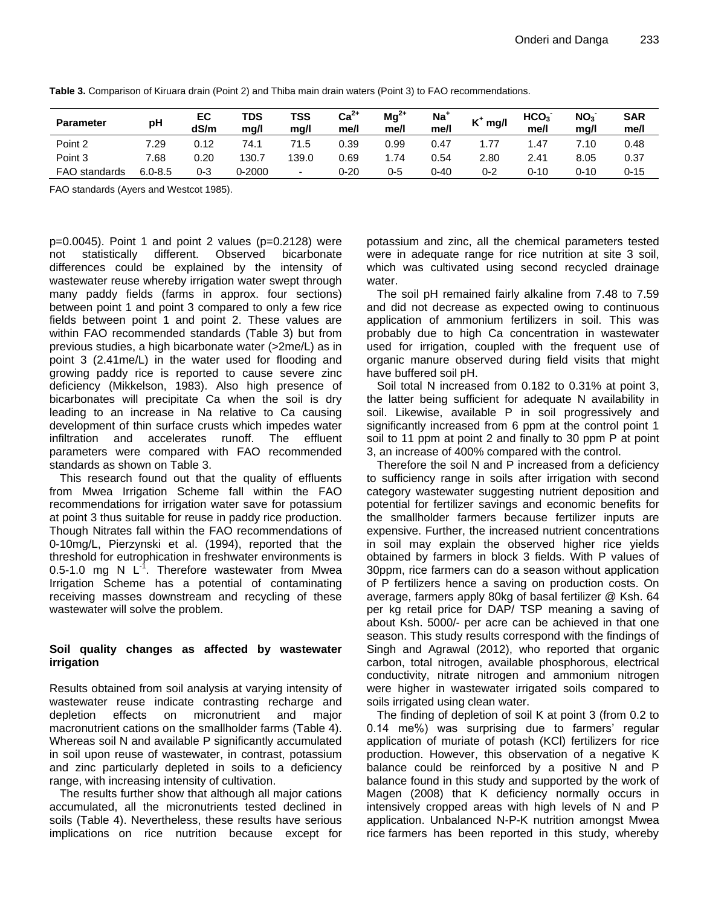| <b>Parameter</b>     | рH          | EC<br>dS/m | TDS<br>ma/l | TSS<br>ma/l              | $Ca2+$<br>me/l | $Mg^{2+}$<br>me/l | Na <sup>+</sup><br>me/l | ız+<br>mg/l | HCO <sub>3</sub><br>me/l | NO <sub>3</sub><br>ma/l | <b>SAR</b><br>me/l |
|----------------------|-------------|------------|-------------|--------------------------|----------------|-------------------|-------------------------|-------------|--------------------------|-------------------------|--------------------|
| Point 2              | 7.29        | 0.12       | 74.         | 71.5                     | 0.39           | 0.99              | 0.47                    | 1.77        | .47                      | 7.10                    | 0.48               |
| Point 3              | 7.68        | 0.20       | 130.7       | 139.0                    | 0.69           | .74               | 0.54                    | 2.80        | 2.41                     | 8.05                    | 0.37               |
| <b>FAO</b> standards | $6.0 - 8.5$ | $0 - 3$    | 0-2000      | $\overline{\phantom{0}}$ | 0-20           | 0-5               | 0-40                    | $0 - 2$     | 0-10                     | $0 - 10$                | $0 - 15$           |

**Table 3.** Comparison of Kiruara drain (Point 2) and Thiba main drain waters (Point 3) to FAO recommendations.

FAO standards (Ayers and Westcot 1985).

 $p=0.0045$ ). Point 1 and point 2 values ( $p=0.2128$ ) were not statistically different. Observed bicarbonate differences could be explained by the intensity of wastewater reuse whereby irrigation water swept through many paddy fields (farms in approx. four sections) between point 1 and point 3 compared to only a few rice fields between point 1 and point 2. These values are within FAO recommended standards (Table 3) but from previous studies, a high bicarbonate water (>2me/L) as in point 3 (2.41me/L) in the water used for flooding and growing paddy rice is reported to cause severe zinc deficiency (Mikkelson, 1983). Also high presence of bicarbonates will precipitate Ca when the soil is dry leading to an increase in Na relative to Ca causing development of thin surface crusts which impedes water infiltration and accelerates runoff. The effluent parameters were compared with FAO recommended standards as shown on Table 3.

This research found out that the quality of effluents from Mwea Irrigation Scheme fall within the FAO recommendations for irrigation water save for potassium at point 3 thus suitable for reuse in paddy rice production. Though Nitrates fall within the FAO recommendations of 0-10mg/L, Pierzynski et al. (1994), reported that the threshold for eutrophication in freshwater environments is 0.5-1.0 mg N  $L^{-1}$ . Therefore wastewater from Mwea Irrigation Scheme has a potential of contaminating receiving masses downstream and recycling of these wastewater will solve the problem.

# **Soil quality changes as affected by wastewater irrigation**

Results obtained from soil analysis at varying intensity of wastewater reuse indicate contrasting recharge and depletion effects on micronutrient and major macronutrient cations on the smallholder farms (Table 4). Whereas soil N and available P significantly accumulated in soil upon reuse of wastewater, in contrast, potassium and zinc particularly depleted in soils to a deficiency range, with increasing intensity of cultivation.

The results further show that although all major cations accumulated, all the micronutrients tested declined in soils (Table 4). Nevertheless, these results have serious implications on rice nutrition because except for potassium and zinc, all the chemical parameters tested were in adequate range for rice nutrition at site 3 soil, which was cultivated using second recycled drainage water.

The soil pH remained fairly alkaline from 7.48 to 7.59 and did not decrease as expected owing to continuous application of ammonium fertilizers in soil. This was probably due to high Ca concentration in wastewater used for irrigation, coupled with the frequent use of organic manure observed during field visits that might have buffered soil pH.

Soil total N increased from 0.182 to 0.31% at point 3, the latter being sufficient for adequate N availability in soil. Likewise, available P in soil progressively and significantly increased from 6 ppm at the control point 1 soil to 11 ppm at point 2 and finally to 30 ppm P at point 3, an increase of 400% compared with the control.

Therefore the soil N and P increased from a deficiency to sufficiency range in soils after irrigation with second category wastewater suggesting nutrient deposition and potential for fertilizer savings and economic benefits for the smallholder farmers because fertilizer inputs are expensive. Further, the increased nutrient concentrations in soil may explain the observed higher rice yields obtained by farmers in block 3 fields. With P values of 30ppm, rice farmers can do a season without application of P fertilizers hence a saving on production costs. On average, farmers apply 80kg of basal fertilizer @ Ksh. 64 per kg retail price for DAP/ TSP meaning a saving of about Ksh. 5000/- per acre can be achieved in that one season. This study results correspond with the findings of Singh and Agrawal (2012), who reported that organic carbon, total nitrogen, available phosphorous, electrical conductivity, nitrate nitrogen and ammonium nitrogen were higher in wastewater irrigated soils compared to soils irrigated using clean water.

The finding of depletion of soil K at point 3 (from 0.2 to 0.14 me%) was surprising due to farmers' regular application of muriate of potash (KCl) fertilizers for rice production. However, this observation of a negative K balance could be reinforced by a positive N and P balance found in this study and supported by the work of Magen (2008) that K deficiency normally occurs in intensively cropped areas with high levels of N and P application. Unbalanced N-P-K nutrition amongst Mwea rice farmers has been reported in this study, whereby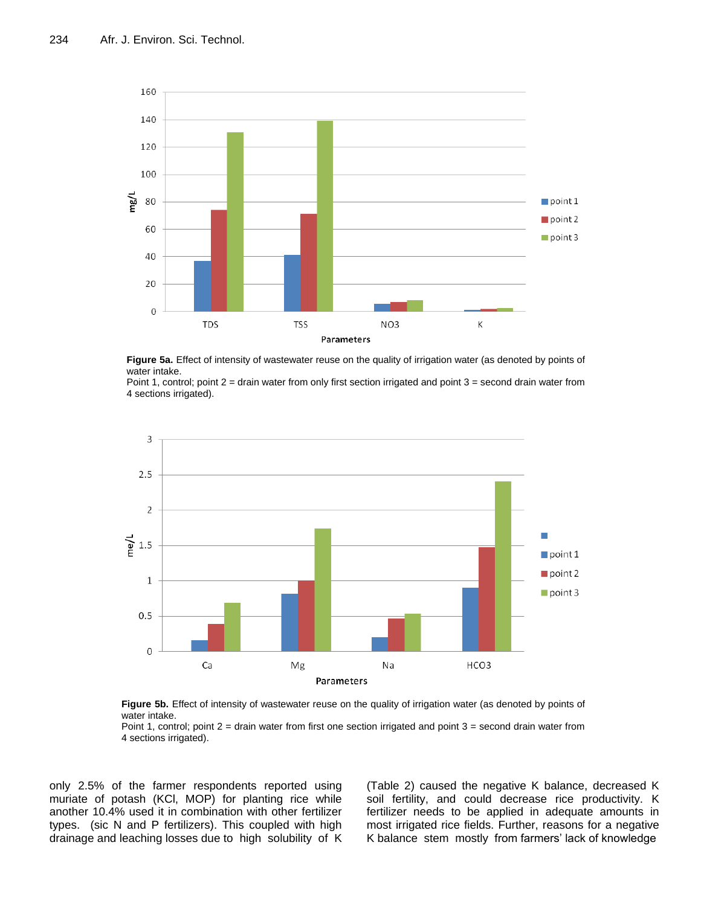

**Figure 5a.** Effect of intensity of wastewater reuse on the quality of irrigation water (as denoted by points of water intake.

Point 1, control; point 2 = drain water from only first section irrigated and point 3 = second drain water from 4 sections irrigated).



**Figure 5b.** Effect of intensity of wastewater reuse on the quality of irrigation water (as denoted by points of water intake.

Point 1, control; point 2 = drain water from first one section irrigated and point 3 = second drain water from 4 sections irrigated).

only 2.5% of the farmer respondents reported using muriate of potash (KCl, MOP) for planting rice while another 10.4% used it in combination with other fertilizer types. (sic N and P fertilizers). This coupled with high drainage and leaching losses due to high solubility of K

(Table 2) caused the negative K balance, decreased K soil fertility, and could decrease rice productivity. K fertilizer needs to be applied in adequate amounts in most irrigated rice fields. Further, reasons for a negative K balance stem mostly from farmers' lack of knowledge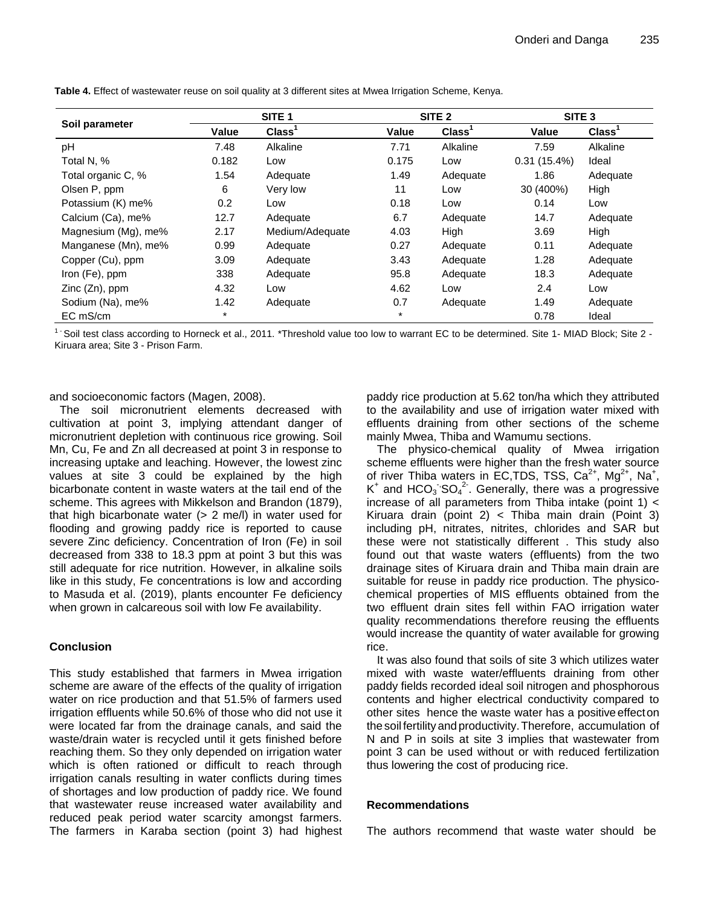|                     |        | SITE <sub>1</sub>  |        | SITE <sub>2</sub>  | SITE <sub>3</sub> |                    |  |
|---------------------|--------|--------------------|--------|--------------------|-------------------|--------------------|--|
| Soil parameter      | Value  | Class <sup>1</sup> | Value  | Class <sup>1</sup> | Value             | Class <sup>1</sup> |  |
| pH                  | 7.48   | Alkaline           | 7.71   | Alkaline           | 7.59              | Alkaline           |  |
| Total N, %          | 0.182  | Low                | 0.175  | Low                | 0.31(15.4%)       | Ideal              |  |
| Total organic C, %  | 1.54   | Adequate           | 1.49   | Adequate           | 1.86              | Adequate           |  |
| Olsen P, ppm        | 6      | Very low           | 11     | Low                | 30 (400%)         | High               |  |
| Potassium (K) me%   | 0.2    | Low                | 0.18   | Low                | 0.14              | Low                |  |
| Calcium (Ca), me%   | 12.7   | Adequate           | 6.7    | Adequate           | 14.7              | Adequate           |  |
| Magnesium (Mg), me% | 2.17   | Medium/Adequate    | 4.03   | High               | 3.69              | High               |  |
| Manganese (Mn), me% | 0.99   | Adequate           | 0.27   | Adequate           | 0.11              | Adequate           |  |
| Copper (Cu), ppm    | 3.09   | Adequate           | 3.43   | Adequate           | 1.28              | Adequate           |  |
| Iron (Fe), ppm      | 338    | Adequate           | 95.8   | Adequate           | 18.3              | Adequate           |  |
| $Zinc(Zn)$ , ppm    | 4.32   | Low                | 4.62   | Low                | 2.4               | Low                |  |
| Sodium (Na), me%    | 1.42   | Adequate           | 0.7    | Adequate           | 1.49              | Adequate           |  |
| EC mS/cm            | $\ast$ |                    | $\ast$ |                    | 0.78              | Ideal              |  |

**Table 4.** Effect of wastewater reuse on soil quality at 3 different sites at Mwea Irrigation Scheme, Kenya.

 $1$  Soil test class according to Horneck et al., 2011. \*Threshold value too low to warrant EC to be determined. Site 1- MIAD Block; Site 2 -Kiruara area; Site 3 - Prison Farm.

and socioeconomic factors (Magen, 2008).

The soil micronutrient elements decreased with cultivation at point 3, implying attendant danger of micronutrient depletion with continuous rice growing. Soil Mn, Cu, Fe and Zn all decreased at point 3 in response to increasing uptake and leaching. However, the lowest zinc values at site 3 could be explained by the high bicarbonate content in waste waters at the tail end of the scheme. This agrees with Mikkelson and Brandon (1879), that high bicarbonate water (> 2 me/l) in water used for flooding and growing paddy rice is reported to cause severe Zinc deficiency. Concentration of Iron (Fe) in soil decreased from 338 to 18.3 ppm at point 3 but this was still adequate for rice nutrition. However, in alkaline soils like in this study, Fe concentrations is low and according to Masuda et al. (2019), plants encounter Fe deficiency when grown in calcareous soil with low Fe availability.

# **Conclusion**

This study established that farmers in Mwea irrigation scheme are aware of the effects of the quality of irrigation water on rice production and that 51.5% of farmers used irrigation effluents while 50.6% of those who did not use it were located far from the drainage canals, and said the waste/drain water is recycled until it gets finished before reaching them. So they only depended on irrigation water which is often rationed or difficult to reach through irrigation canals resulting in water conflicts during times of shortages and low production of paddy rice. We found that wastewater reuse increased water availability and reduced peak period water scarcity amongst farmers. The farmers in Karaba section (point 3) had highest paddy rice production at 5.62 ton/ha which they attributed to the availability and use of irrigation water mixed with effluents draining from other sections of the scheme mainly Mwea, Thiba and Wamumu sections.

The physico-chemical quality of Mwea irrigation scheme effluents were higher than the fresh water source of river Thiba waters in  $EC, TDS, TSS, Ca<sup>2+</sup>, Mg<sup>2+</sup>, Na<sup>+</sup>,$  $K^+$  and HCO<sub>3</sub> SO<sub>4</sub><sup>2</sup>. Generally, there was a progressive increase of all parameters from Thiba intake (point 1) < Kiruara drain (point 2) < Thiba main drain (Point 3) including pH, nitrates, nitrites, chlorides and SAR but these were not statistically different . This study also found out that waste waters (effluents) from the two drainage sites of Kiruara drain and Thiba main drain are suitable for reuse in paddy rice production. The physicochemical properties of MIS effluents obtained from the two effluent drain sites fell within FAO irrigation water quality recommendations therefore reusing the effluents would increase the quantity of water available for growing rice.

It was also found that soils of site 3 which utilizes water mixed with waste water/effluents draining from other paddy fields recorded ideal soil nitrogen and phosphorous contents and higher electrical conductivity compared to other sites hence the waste water has a positive effect on the soil fertilityandproductivity.Therefore, accumulation of N and P in soils at site 3 implies that wastewater from point 3 can be used without or with reduced fertilization thus lowering the cost of producing rice.

# **Recommendations**

The authors recommend that waste water should be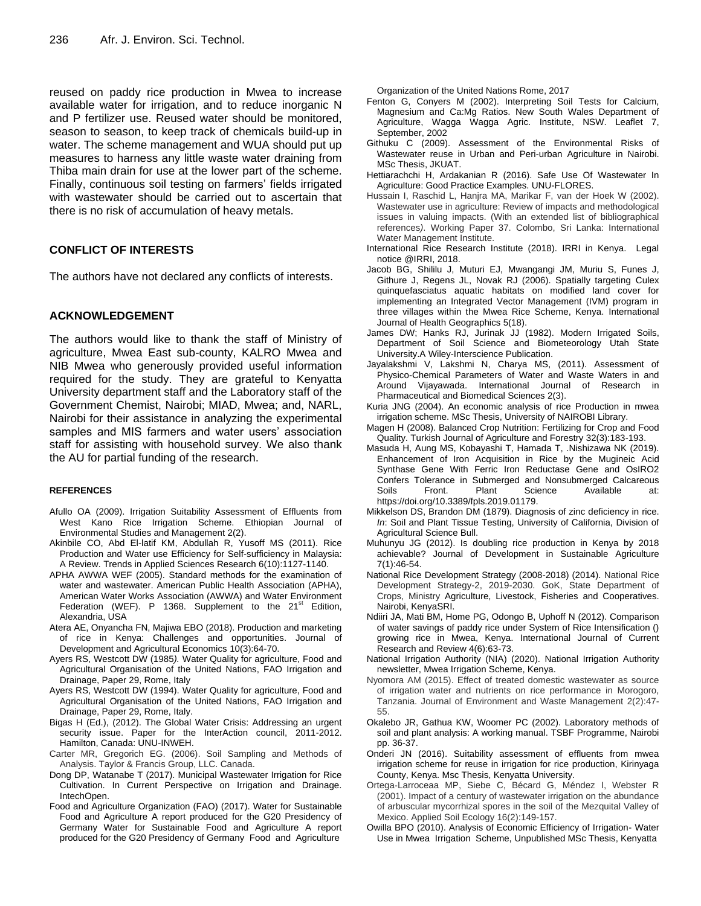reused on paddy rice production in Mwea to increase available water for irrigation, and to reduce inorganic N and P fertilizer use. Reused water should be monitored, season to season, to keep track of chemicals build-up in water. The scheme management and WUA should put up measures to harness any little waste water draining from Thiba main drain for use at the lower part of the scheme. Finally, continuous soil testing on farmers' fields irrigated with wastewater should be carried out to ascertain that there is no risk of accumulation of heavy metals.

# **CONFLICT OF INTERESTS**

The authors have not declared any conflicts of interests.

# **ACKNOWLEDGEMENT**

The authors would like to thank the staff of Ministry of agriculture, Mwea East sub-county, KALRO Mwea and NIB Mwea who generously provided useful information required for the study. They are grateful to Kenyatta University department staff and the Laboratory staff of the Government Chemist, Nairobi; MIAD, Mwea; and, NARL, Nairobi for their assistance in analyzing the experimental samples and MIS farmers and water users' association staff for assisting with household survey. We also thank the AU for partial funding of the research.

## **REFERENCES**

- Afullo OA (2009). Irrigation Suitability Assessment of Effluents from West Kano Rice Irrigation Scheme. Ethiopian Journal of Environmental Studies and Management 2(2).
- Akinbile CO, Abd El-latif KM, Abdullah R, Yusoff MS (2011). Rice Production and Water use Efficiency for Self-sufficiency in Malaysia: A Review. Trends in Applied Sciences Research 6(10):1127-1140.
- APHA AWWA WEF (2005). Standard methods for the examination of water and wastewater. American Public Health Association (APHA), American Water Works Association (AWWA) and Water Environment Federation (WEF). P 1368. Supplement to the  $21^{st}$  Edition, Alexandria, USA
- Atera AE, Onyancha FN, Majiwa EBO (2018). Production and marketing of rice in Kenya: Challenges and opportunities. Journal of Development and Agricultural Economics 10(3):64-70.
- Ayers RS, Westcott DW (1985*).* Water Quality for agriculture, Food and Agricultural Organisation of the United Nations, FAO Irrigation and Drainage, Paper 29, Rome, Italy
- Ayers RS, Westcott DW (1994). Water Quality for agriculture, Food and Agricultural Organisation of the United Nations, FAO Irrigation and Drainage, Paper 29, Rome, Italy.
- Bigas H (Ed.), (2012). The Global Water Crisis: Addressing an urgent security issue. Paper for the InterAction council, 2011-2012. Hamilton, Canada: UNU-INWEH.
- Carter MR, Gregorich EG. (2006). Soil Sampling and Methods of Analysis. Taylor & Francis Group, LLC. Canada.
- Dong DP, Watanabe T (2017). Municipal Wastewater Irrigation for Rice Cultivation. In Current Perspective on Irrigation and Drainage. IntechOpen.
- Food and Agriculture Organization (FAO) (2017). Water for Sustainable Food and Agriculture A report produced for the G20 Presidency of Germany Water for Sustainable Food and Agriculture A report produced for the G20 Presidency of Germany Food and Agriculture

Organization of the United Nations Rome, 2017

- Fenton G, Conyers M (2002). Interpreting Soil Tests for Calcium, Magnesium and Ca:Mg Ratios. New South Wales Department of Agriculture, Wagga Wagga Agric. Institute, NSW. Leaflet 7, September, 2002
- Githuku C (2009). Assessment of the Environmental Risks of Wastewater reuse in Urban and Peri-urban Agriculture in Nairobi. MSc Thesis, JKUAT.
- Hettiarachchi H, Ardakanian R (2016). Safe Use Of Wastewater In Agriculture: Good Practice Examples. UNU-FLORES.
- Hussain I, Raschid L, Hanjra MA, Marikar F, van der Hoek W (2002). Wastewater use in agriculture: Review of impacts and methodological issues in valuing impacts. (With an extended list of bibliographical references*)*. Working Paper 37. Colombo, Sri Lanka: International Water Management Institute.
- International Rice Research Institute (2018). IRRI in Kenya. Legal notice @IRRI, 2018.
- Jacob BG, Shililu J, Muturi EJ, Mwangangi JM, Muriu S, Funes J, Githure J, Regens JL, Novak RJ (2006). Spatially targeting Culex quinquefasciatus aquatic habitats on modified land cover for implementing an Integrated Vector Management (IVM) program in three villages within the Mwea Rice Scheme, Kenya. International Journal of Health Geographics 5(18).
- James DW; Hanks RJ, Jurinak JJ (1982). Modern Irrigated Soils, Department of Soil Science and Biometeorology Utah State University.A Wiley-Interscience Publication.
- Jayalakshmi V, Lakshmi N, Charya MS, (2011). Assessment of Physico-Chemical Parameters of Water and Waste Waters in and Around Vijayawada. International Journal of Research in Pharmaceutical and Biomedical Sciences 2(3).
- Kuria JNG (2004). An economic analysis of rice Production in mwea irrigation scheme. MSc Thesis, University of NAIROBI Library.
- Magen H (2008). Balanced Crop Nutrition: Fertilizing for Crop and Food Quality. Turkish Journal of Agriculture and Forestry 32(3):183-193.
- Masuda H, Aung MS, Kobayashi T, Hamada T, .Nishizawa NK (2019). Enhancement of Iron Acquisition in Rice by the Mugineic Acid Synthase Gene With Ferric Iron Reductase Gene and OsIRO2 Confers Tolerance in Submerged and Nonsubmerged Calcareous Soils Front. Plant Science Available at: https://doi.org/10.3389/fpls.2019.01179.
- Mikkelson DS, Brandon DM (1879). Diagnosis of zinc deficiency in rice. *In*: Soil and Plant Tissue Testing, University of California, Division of Agricultural Science Bull.
- Muhunyu JG (2012). Is doubling rice production in Kenya by 2018 achievable? Journal of Development in Sustainable Agriculture 7(1):46-54.
- National Rice Development Strategy (2008-2018) (2014). National Rice Development Strategy-2, 2019-2030. GoK, State Department of Crops, Ministry Agriculture, Livestock, Fisheries and Cooperatives. Nairobi, KenyaSRI.
- Ndiiri JA, Mati BM, Home PG, Odongo B, Uphoff N (2012). Comparison of water savings of paddy rice under System of Rice Intensification () growing rice in Mwea, Kenya. International Journal of Current Research and Review 4(6):63-73.
- National Irrigation Authority (NIA) (2020). National Irrigation Authority newsletter, Mwea Irrigation Scheme, Kenya.
- Nyomora AM (2015). Effect of treated domestic wastewater as source of irrigation water and nutrients on rice performance in Morogoro, Tanzania. Journal of Environment and Waste Management 2(2):47- 55.
- Okalebo JR, Gathua KW, Woomer PC (2002). Laboratory methods of soil and plant analysis: A working manual. TSBF Programme, Nairobi pp. 36-37.
- Onderi JN (2016). Suitability assessment of effluents from mwea irrigation scheme for reuse in irrigation for rice production, Kirinyaga County, Kenya. Msc Thesis, Kenyatta University.
- Ortega‐Larroceaa MP, Siebe C, Bécard G, Méndez I, Webster R (2001). Impact of a century of wastewater irrigation on the abundance of arbuscular mycorrhizal spores in the soil of the Mezquital Valley of Mexico. Applied Soil Ecology 16(2):149-157.
- Owilla BPO (2010). Analysis of Economic Efficiency of Irrigation- Water Use in Mwea Irrigation Scheme, Unpublished MSc Thesis, Kenyatta